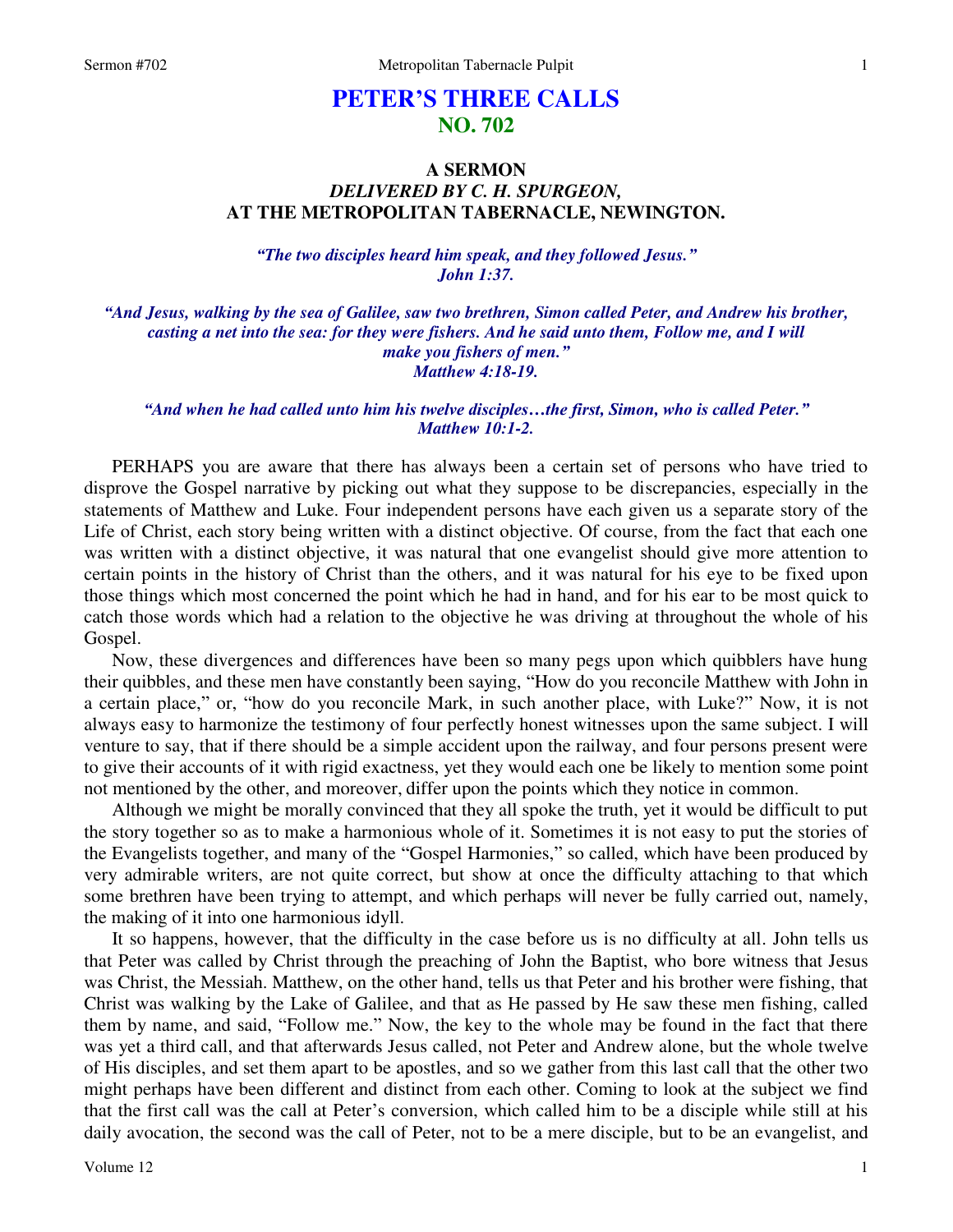# **PETER'S THREE CALLS NO. 702**

## **A SERMON**  *DELIVERED BY C. H. SPURGEON,*  **AT THE METROPOLITAN TABERNACLE, NEWINGTON.**

*"The two disciples heard him speak, and they followed Jesus." John 1:37.* 

*"And Jesus, walking by the sea of Galilee, saw two brethren, Simon called Peter, and Andrew his brother, casting a net into the sea: for they were fishers. And he said unto them, Follow me, and I will make you fishers of men." Matthew 4:18-19.* 

*"And when he had called unto him his twelve disciples…the first, Simon, who is called Peter." Matthew 10:1-2.* 

PERHAPS you are aware that there has always been a certain set of persons who have tried to disprove the Gospel narrative by picking out what they suppose to be discrepancies, especially in the statements of Matthew and Luke. Four independent persons have each given us a separate story of the Life of Christ, each story being written with a distinct objective. Of course, from the fact that each one was written with a distinct objective, it was natural that one evangelist should give more attention to certain points in the history of Christ than the others, and it was natural for his eye to be fixed upon those things which most concerned the point which he had in hand, and for his ear to be most quick to catch those words which had a relation to the objective he was driving at throughout the whole of his Gospel.

Now, these divergences and differences have been so many pegs upon which quibblers have hung their quibbles, and these men have constantly been saying, "How do you reconcile Matthew with John in a certain place," or, "how do you reconcile Mark, in such another place, with Luke?" Now, it is not always easy to harmonize the testimony of four perfectly honest witnesses upon the same subject. I will venture to say, that if there should be a simple accident upon the railway, and four persons present were to give their accounts of it with rigid exactness, yet they would each one be likely to mention some point not mentioned by the other, and moreover, differ upon the points which they notice in common.

Although we might be morally convinced that they all spoke the truth, yet it would be difficult to put the story together so as to make a harmonious whole of it. Sometimes it is not easy to put the stories of the Evangelists together, and many of the "Gospel Harmonies," so called, which have been produced by very admirable writers, are not quite correct, but show at once the difficulty attaching to that which some brethren have been trying to attempt, and which perhaps will never be fully carried out, namely, the making of it into one harmonious idyll.

It so happens, however, that the difficulty in the case before us is no difficulty at all. John tells us that Peter was called by Christ through the preaching of John the Baptist, who bore witness that Jesus was Christ, the Messiah. Matthew, on the other hand, tells us that Peter and his brother were fishing, that Christ was walking by the Lake of Galilee, and that as He passed by He saw these men fishing, called them by name, and said, "Follow me." Now, the key to the whole may be found in the fact that there was yet a third call, and that afterwards Jesus called, not Peter and Andrew alone, but the whole twelve of His disciples, and set them apart to be apostles, and so we gather from this last call that the other two might perhaps have been different and distinct from each other. Coming to look at the subject we find that the first call was the call at Peter's conversion, which called him to be a disciple while still at his daily avocation, the second was the call of Peter, not to be a mere disciple, but to be an evangelist, and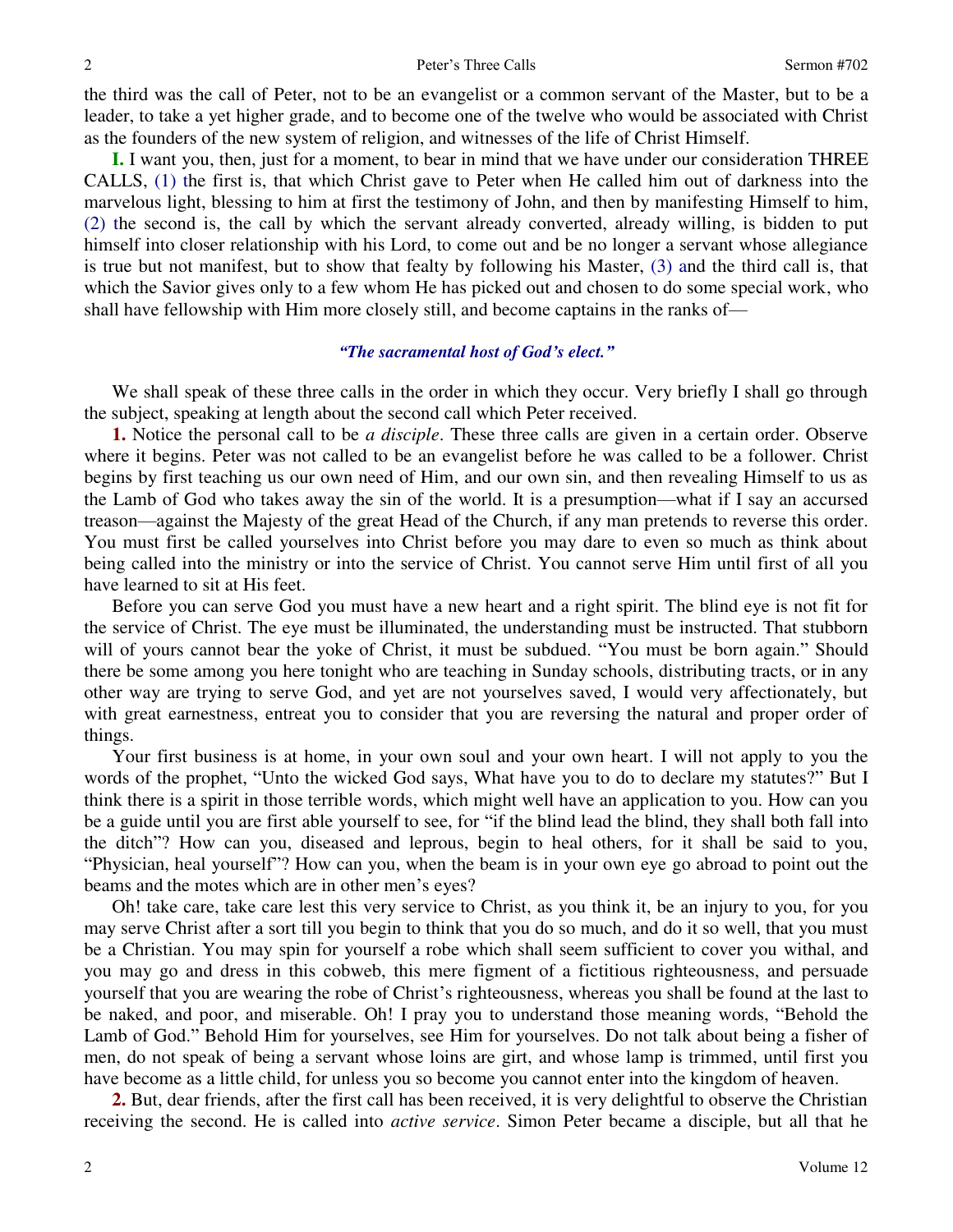the third was the call of Peter, not to be an evangelist or a common servant of the Master, but to be a leader, to take a yet higher grade, and to become one of the twelve who would be associated with Christ as the founders of the new system of religion, and witnesses of the life of Christ Himself.

**I.** I want you, then, just for a moment, to bear in mind that we have under our consideration THREE CALLS, (1) the first is, that which Christ gave to Peter when He called him out of darkness into the marvelous light, blessing to him at first the testimony of John, and then by manifesting Himself to him, (2) the second is, the call by which the servant already converted, already willing, is bidden to put himself into closer relationship with his Lord, to come out and be no longer a servant whose allegiance is true but not manifest, but to show that fealty by following his Master, (3) and the third call is, that which the Savior gives only to a few whom He has picked out and chosen to do some special work, who shall have fellowship with Him more closely still, and become captains in the ranks of—

#### *"The sacramental host of God's elect."*

We shall speak of these three calls in the order in which they occur. Very briefly I shall go through the subject, speaking at length about the second call which Peter received.

**1.** Notice the personal call to be *a disciple*. These three calls are given in a certain order. Observe where it begins. Peter was not called to be an evangelist before he was called to be a follower. Christ begins by first teaching us our own need of Him, and our own sin, and then revealing Himself to us as the Lamb of God who takes away the sin of the world. It is a presumption—what if I say an accursed treason—against the Majesty of the great Head of the Church, if any man pretends to reverse this order. You must first be called yourselves into Christ before you may dare to even so much as think about being called into the ministry or into the service of Christ. You cannot serve Him until first of all you have learned to sit at His feet.

Before you can serve God you must have a new heart and a right spirit. The blind eye is not fit for the service of Christ. The eye must be illuminated, the understanding must be instructed. That stubborn will of yours cannot bear the yoke of Christ, it must be subdued. "You must be born again." Should there be some among you here tonight who are teaching in Sunday schools, distributing tracts, or in any other way are trying to serve God, and yet are not yourselves saved, I would very affectionately, but with great earnestness, entreat you to consider that you are reversing the natural and proper order of things.

Your first business is at home, in your own soul and your own heart. I will not apply to you the words of the prophet, "Unto the wicked God says, What have you to do to declare my statutes?" But I think there is a spirit in those terrible words, which might well have an application to you. How can you be a guide until you are first able yourself to see, for "if the blind lead the blind, they shall both fall into the ditch"? How can you, diseased and leprous, begin to heal others, for it shall be said to you, "Physician, heal yourself"? How can you, when the beam is in your own eye go abroad to point out the beams and the motes which are in other men's eyes?

Oh! take care, take care lest this very service to Christ, as you think it, be an injury to you, for you may serve Christ after a sort till you begin to think that you do so much, and do it so well, that you must be a Christian. You may spin for yourself a robe which shall seem sufficient to cover you withal, and you may go and dress in this cobweb, this mere figment of a fictitious righteousness, and persuade yourself that you are wearing the robe of Christ's righteousness, whereas you shall be found at the last to be naked, and poor, and miserable. Oh! I pray you to understand those meaning words, "Behold the Lamb of God." Behold Him for yourselves, see Him for yourselves. Do not talk about being a fisher of men, do not speak of being a servant whose loins are girt, and whose lamp is trimmed, until first you have become as a little child, for unless you so become you cannot enter into the kingdom of heaven.

**2.** But, dear friends, after the first call has been received, it is very delightful to observe the Christian receiving the second. He is called into *active service*. Simon Peter became a disciple, but all that he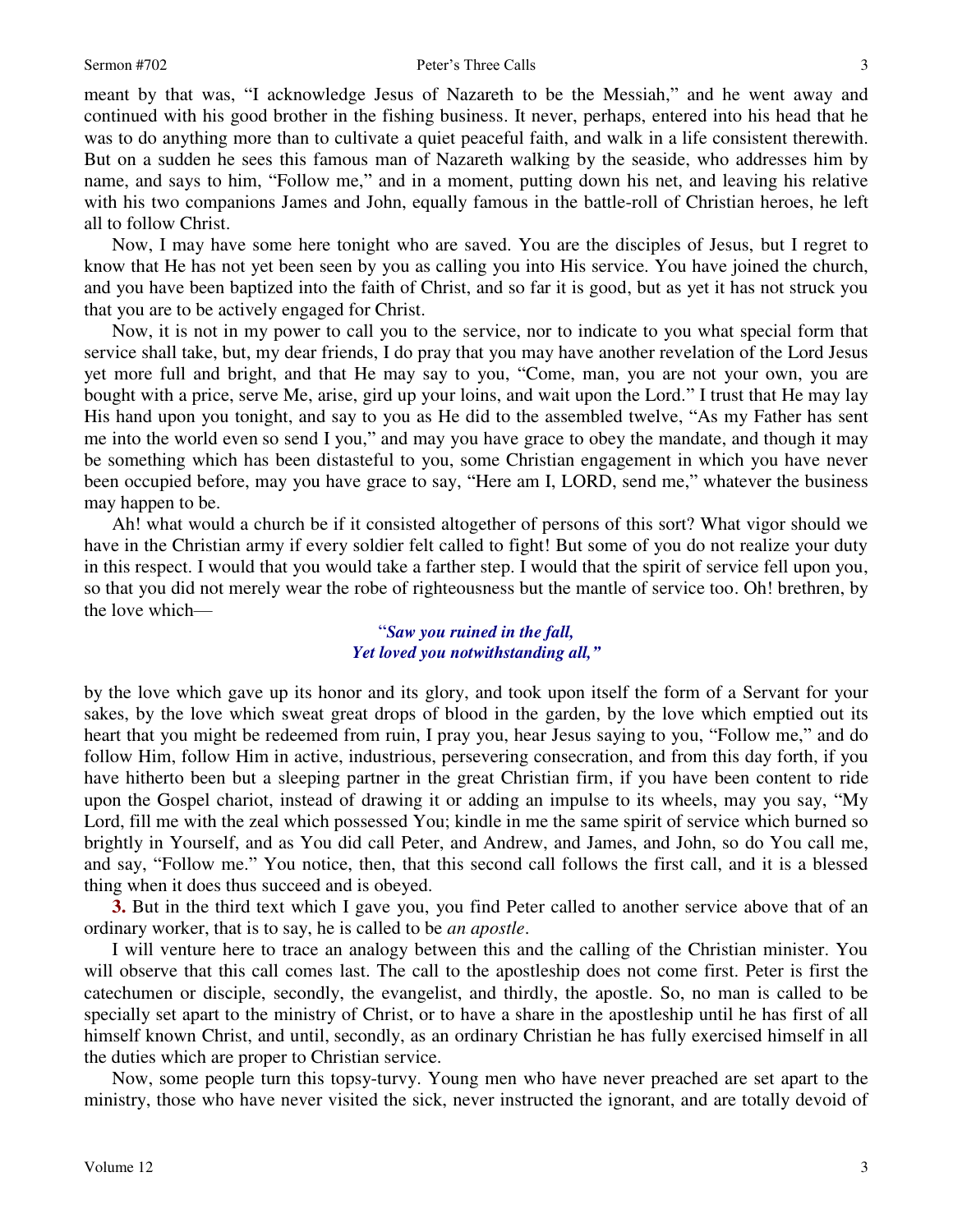meant by that was, "I acknowledge Jesus of Nazareth to be the Messiah," and he went away and continued with his good brother in the fishing business. It never, perhaps, entered into his head that he was to do anything more than to cultivate a quiet peaceful faith, and walk in a life consistent therewith. But on a sudden he sees this famous man of Nazareth walking by the seaside, who addresses him by name, and says to him, "Follow me," and in a moment, putting down his net, and leaving his relative with his two companions James and John, equally famous in the battle-roll of Christian heroes, he left all to follow Christ.

Now, I may have some here tonight who are saved. You are the disciples of Jesus, but I regret to know that He has not yet been seen by you as calling you into His service. You have joined the church, and you have been baptized into the faith of Christ, and so far it is good, but as yet it has not struck you that you are to be actively engaged for Christ.

Now, it is not in my power to call you to the service, nor to indicate to you what special form that service shall take, but, my dear friends, I do pray that you may have another revelation of the Lord Jesus yet more full and bright, and that He may say to you, "Come, man, you are not your own, you are bought with a price, serve Me, arise, gird up your loins, and wait upon the Lord." I trust that He may lay His hand upon you tonight, and say to you as He did to the assembled twelve, "As my Father has sent me into the world even so send I you," and may you have grace to obey the mandate, and though it may be something which has been distasteful to you, some Christian engagement in which you have never been occupied before, may you have grace to say, "Here am I, LORD, send me," whatever the business may happen to be.

Ah! what would a church be if it consisted altogether of persons of this sort? What vigor should we have in the Christian army if every soldier felt called to fight! But some of you do not realize your duty in this respect. I would that you would take a farther step. I would that the spirit of service fell upon you, so that you did not merely wear the robe of righteousness but the mantle of service too. Oh! brethren, by the love which—

#### "*Saw you ruined in the fall, Yet loved you notwithstanding all,"*

by the love which gave up its honor and its glory, and took upon itself the form of a Servant for your sakes, by the love which sweat great drops of blood in the garden, by the love which emptied out its heart that you might be redeemed from ruin, I pray you, hear Jesus saying to you, "Follow me," and do follow Him, follow Him in active, industrious, persevering consecration, and from this day forth, if you have hitherto been but a sleeping partner in the great Christian firm, if you have been content to ride upon the Gospel chariot, instead of drawing it or adding an impulse to its wheels, may you say, "My Lord, fill me with the zeal which possessed You; kindle in me the same spirit of service which burned so brightly in Yourself, and as You did call Peter, and Andrew, and James, and John, so do You call me, and say, "Follow me." You notice, then, that this second call follows the first call, and it is a blessed thing when it does thus succeed and is obeyed.

**3.** But in the third text which I gave you, you find Peter called to another service above that of an ordinary worker, that is to say, he is called to be *an apostle*.

I will venture here to trace an analogy between this and the calling of the Christian minister. You will observe that this call comes last. The call to the apostleship does not come first. Peter is first the catechumen or disciple, secondly, the evangelist, and thirdly, the apostle. So, no man is called to be specially set apart to the ministry of Christ, or to have a share in the apostleship until he has first of all himself known Christ, and until, secondly, as an ordinary Christian he has fully exercised himself in all the duties which are proper to Christian service.

Now, some people turn this topsy-turvy. Young men who have never preached are set apart to the ministry, those who have never visited the sick, never instructed the ignorant, and are totally devoid of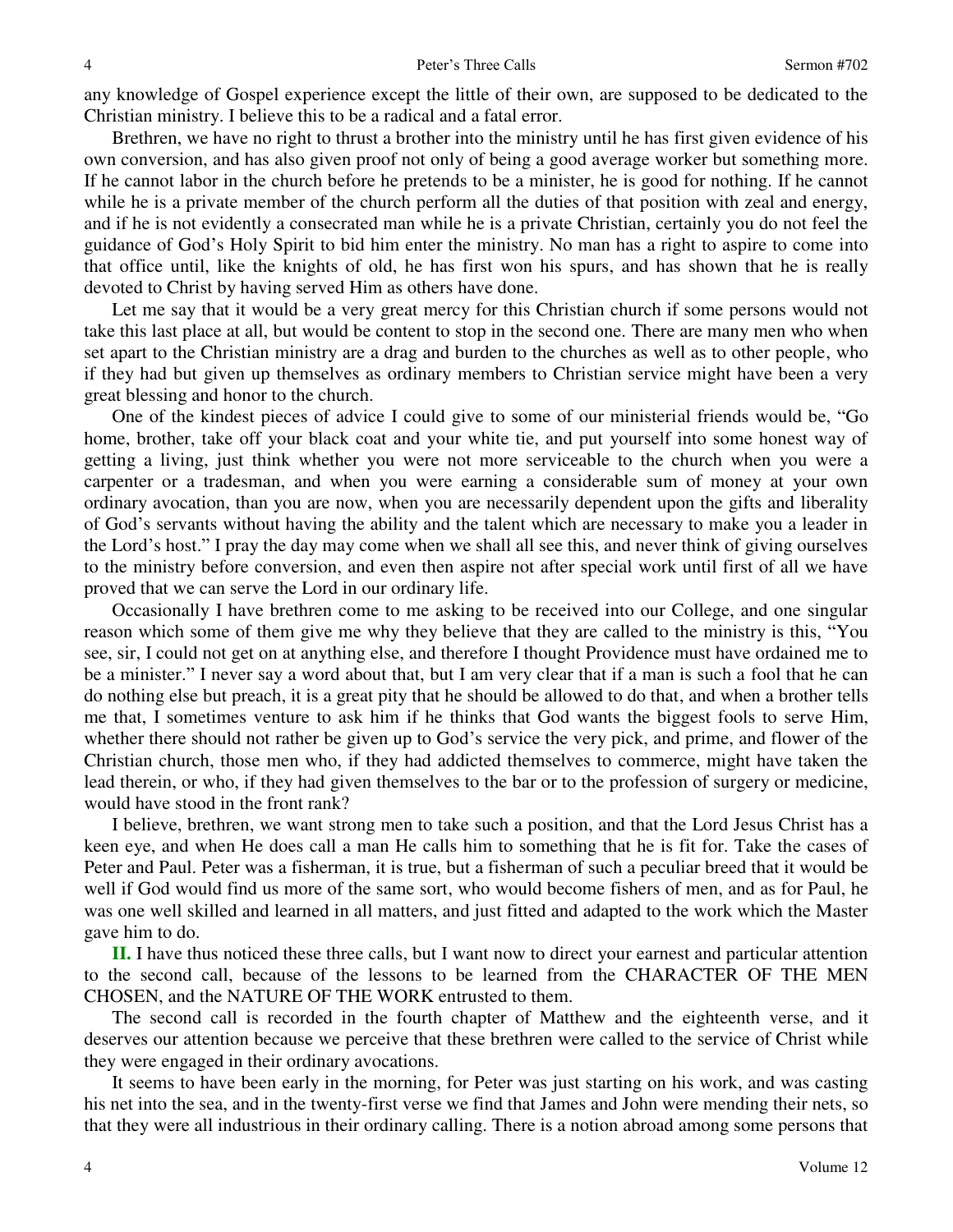any knowledge of Gospel experience except the little of their own, are supposed to be dedicated to the Christian ministry. I believe this to be a radical and a fatal error.

Brethren, we have no right to thrust a brother into the ministry until he has first given evidence of his own conversion, and has also given proof not only of being a good average worker but something more. If he cannot labor in the church before he pretends to be a minister, he is good for nothing. If he cannot while he is a private member of the church perform all the duties of that position with zeal and energy, and if he is not evidently a consecrated man while he is a private Christian, certainly you do not feel the guidance of God's Holy Spirit to bid him enter the ministry. No man has a right to aspire to come into that office until, like the knights of old, he has first won his spurs, and has shown that he is really devoted to Christ by having served Him as others have done.

Let me say that it would be a very great mercy for this Christian church if some persons would not take this last place at all, but would be content to stop in the second one. There are many men who when set apart to the Christian ministry are a drag and burden to the churches as well as to other people, who if they had but given up themselves as ordinary members to Christian service might have been a very great blessing and honor to the church.

One of the kindest pieces of advice I could give to some of our ministerial friends would be, "Go home, brother, take off your black coat and your white tie, and put yourself into some honest way of getting a living, just think whether you were not more serviceable to the church when you were a carpenter or a tradesman, and when you were earning a considerable sum of money at your own ordinary avocation, than you are now, when you are necessarily dependent upon the gifts and liberality of God's servants without having the ability and the talent which are necessary to make you a leader in the Lord's host." I pray the day may come when we shall all see this, and never think of giving ourselves to the ministry before conversion, and even then aspire not after special work until first of all we have proved that we can serve the Lord in our ordinary life.

Occasionally I have brethren come to me asking to be received into our College, and one singular reason which some of them give me why they believe that they are called to the ministry is this, "You see, sir, I could not get on at anything else, and therefore I thought Providence must have ordained me to be a minister." I never say a word about that, but I am very clear that if a man is such a fool that he can do nothing else but preach, it is a great pity that he should be allowed to do that, and when a brother tells me that, I sometimes venture to ask him if he thinks that God wants the biggest fools to serve Him, whether there should not rather be given up to God's service the very pick, and prime, and flower of the Christian church, those men who, if they had addicted themselves to commerce, might have taken the lead therein, or who, if they had given themselves to the bar or to the profession of surgery or medicine, would have stood in the front rank?

I believe, brethren, we want strong men to take such a position, and that the Lord Jesus Christ has a keen eye, and when He does call a man He calls him to something that he is fit for. Take the cases of Peter and Paul. Peter was a fisherman, it is true, but a fisherman of such a peculiar breed that it would be well if God would find us more of the same sort, who would become fishers of men, and as for Paul, he was one well skilled and learned in all matters, and just fitted and adapted to the work which the Master gave him to do.

**II.** I have thus noticed these three calls, but I want now to direct your earnest and particular attention to the second call, because of the lessons to be learned from the CHARACTER OF THE MEN CHOSEN, and the NATURE OF THE WORK entrusted to them.

The second call is recorded in the fourth chapter of Matthew and the eighteenth verse, and it deserves our attention because we perceive that these brethren were called to the service of Christ while they were engaged in their ordinary avocations.

It seems to have been early in the morning, for Peter was just starting on his work, and was casting his net into the sea, and in the twenty-first verse we find that James and John were mending their nets, so that they were all industrious in their ordinary calling. There is a notion abroad among some persons that

4

4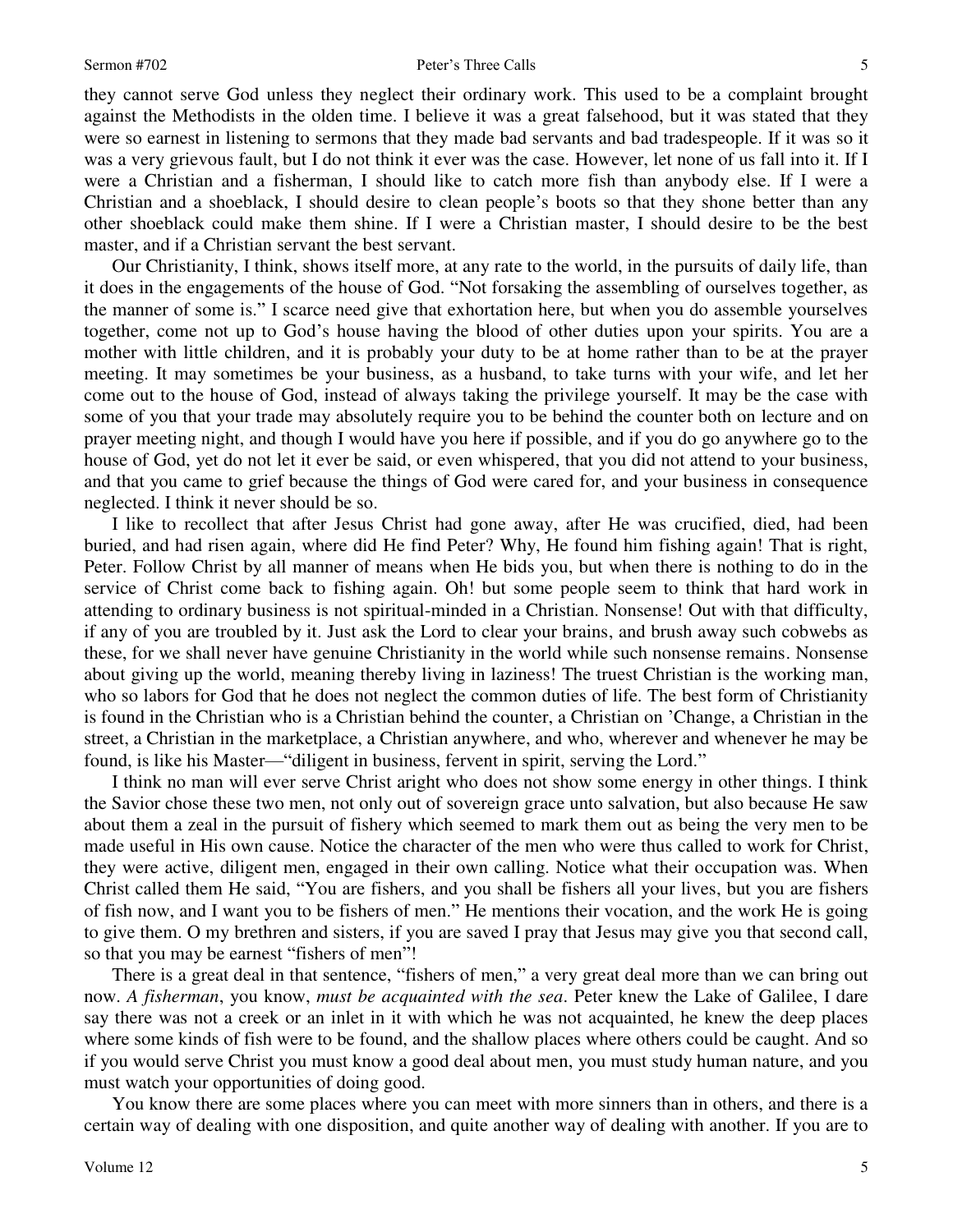they cannot serve God unless they neglect their ordinary work. This used to be a complaint brought against the Methodists in the olden time. I believe it was a great falsehood, but it was stated that they were so earnest in listening to sermons that they made bad servants and bad tradespeople. If it was so it was a very grievous fault, but I do not think it ever was the case. However, let none of us fall into it. If I were a Christian and a fisherman, I should like to catch more fish than anybody else. If I were a Christian and a shoeblack, I should desire to clean people's boots so that they shone better than any other shoeblack could make them shine. If I were a Christian master, I should desire to be the best master, and if a Christian servant the best servant.

Our Christianity, I think, shows itself more, at any rate to the world, in the pursuits of daily life, than it does in the engagements of the house of God. "Not forsaking the assembling of ourselves together, as the manner of some is." I scarce need give that exhortation here, but when you do assemble yourselves together, come not up to God's house having the blood of other duties upon your spirits. You are a mother with little children, and it is probably your duty to be at home rather than to be at the prayer meeting. It may sometimes be your business, as a husband, to take turns with your wife, and let her come out to the house of God, instead of always taking the privilege yourself. It may be the case with some of you that your trade may absolutely require you to be behind the counter both on lecture and on prayer meeting night, and though I would have you here if possible, and if you do go anywhere go to the house of God, yet do not let it ever be said, or even whispered, that you did not attend to your business, and that you came to grief because the things of God were cared for, and your business in consequence neglected. I think it never should be so.

I like to recollect that after Jesus Christ had gone away, after He was crucified, died, had been buried, and had risen again, where did He find Peter? Why, He found him fishing again! That is right, Peter. Follow Christ by all manner of means when He bids you, but when there is nothing to do in the service of Christ come back to fishing again. Oh! but some people seem to think that hard work in attending to ordinary business is not spiritual-minded in a Christian. Nonsense! Out with that difficulty, if any of you are troubled by it. Just ask the Lord to clear your brains, and brush away such cobwebs as these, for we shall never have genuine Christianity in the world while such nonsense remains. Nonsense about giving up the world, meaning thereby living in laziness! The truest Christian is the working man, who so labors for God that he does not neglect the common duties of life. The best form of Christianity is found in the Christian who is a Christian behind the counter, a Christian on 'Change, a Christian in the street, a Christian in the marketplace, a Christian anywhere, and who, wherever and whenever he may be found, is like his Master—"diligent in business, fervent in spirit, serving the Lord."

I think no man will ever serve Christ aright who does not show some energy in other things. I think the Savior chose these two men, not only out of sovereign grace unto salvation, but also because He saw about them a zeal in the pursuit of fishery which seemed to mark them out as being the very men to be made useful in His own cause. Notice the character of the men who were thus called to work for Christ, they were active, diligent men, engaged in their own calling. Notice what their occupation was. When Christ called them He said, "You are fishers, and you shall be fishers all your lives, but you are fishers of fish now, and I want you to be fishers of men." He mentions their vocation, and the work He is going to give them. O my brethren and sisters, if you are saved I pray that Jesus may give you that second call, so that you may be earnest "fishers of men"!

There is a great deal in that sentence, "fishers of men," a very great deal more than we can bring out now. *A fisherman*, you know, *must be acquainted with the sea*. Peter knew the Lake of Galilee, I dare say there was not a creek or an inlet in it with which he was not acquainted, he knew the deep places where some kinds of fish were to be found, and the shallow places where others could be caught. And so if you would serve Christ you must know a good deal about men, you must study human nature, and you must watch your opportunities of doing good.

You know there are some places where you can meet with more sinners than in others, and there is a certain way of dealing with one disposition, and quite another way of dealing with another. If you are to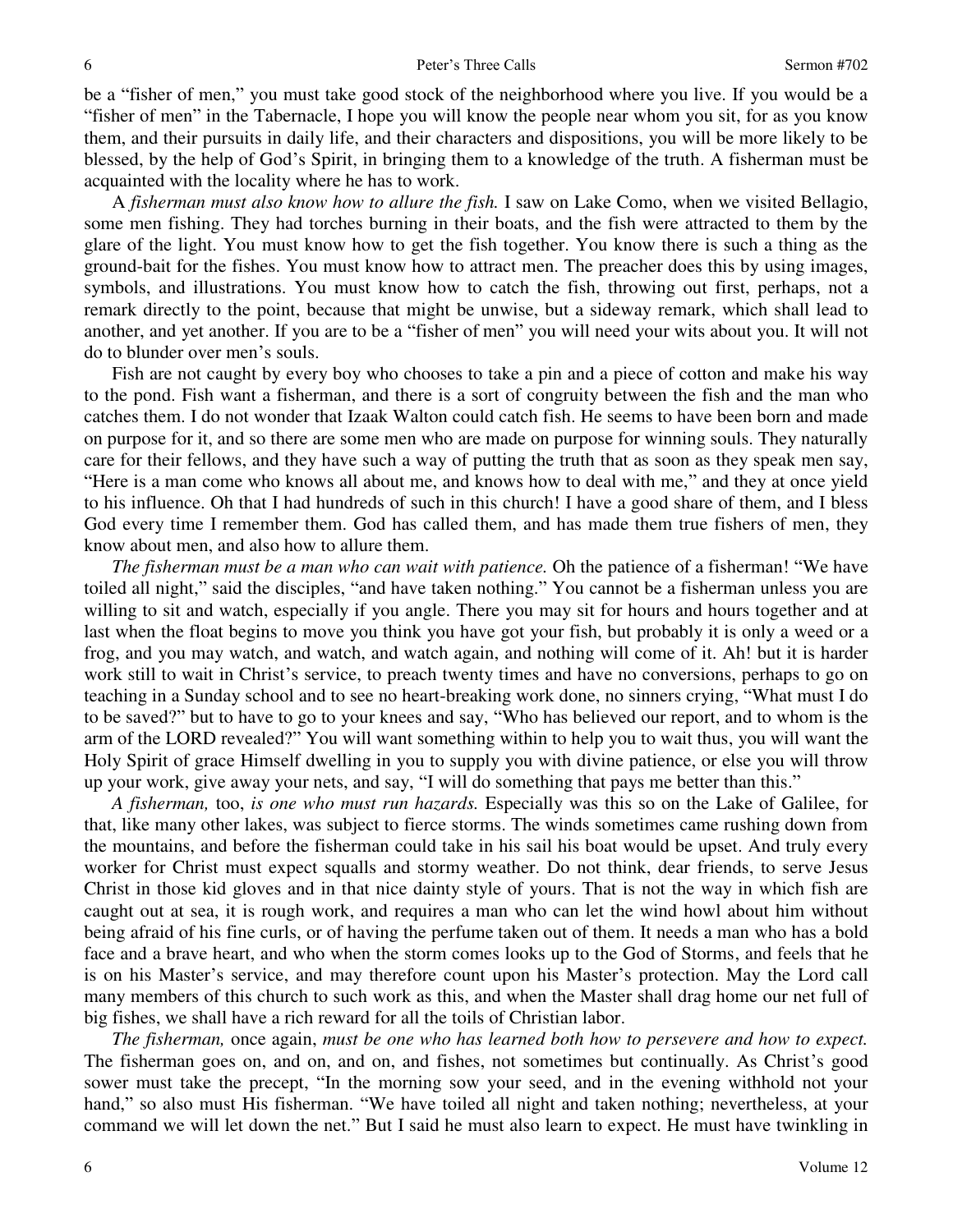be a "fisher of men," you must take good stock of the neighborhood where you live. If you would be a "fisher of men" in the Tabernacle, I hope you will know the people near whom you sit, for as you know them, and their pursuits in daily life, and their characters and dispositions, you will be more likely to be blessed, by the help of God's Spirit, in bringing them to a knowledge of the truth. A fisherman must be acquainted with the locality where he has to work.

A *fisherman must also know how to allure the fish.* I saw on Lake Como, when we visited Bellagio, some men fishing. They had torches burning in their boats, and the fish were attracted to them by the glare of the light. You must know how to get the fish together. You know there is such a thing as the ground-bait for the fishes. You must know how to attract men. The preacher does this by using images, symbols, and illustrations. You must know how to catch the fish, throwing out first, perhaps, not a remark directly to the point, because that might be unwise, but a sideway remark, which shall lead to another, and yet another. If you are to be a "fisher of men" you will need your wits about you. It will not do to blunder over men's souls.

Fish are not caught by every boy who chooses to take a pin and a piece of cotton and make his way to the pond. Fish want a fisherman, and there is a sort of congruity between the fish and the man who catches them. I do not wonder that Izaak Walton could catch fish. He seems to have been born and made on purpose for it, and so there are some men who are made on purpose for winning souls. They naturally care for their fellows, and they have such a way of putting the truth that as soon as they speak men say, "Here is a man come who knows all about me, and knows how to deal with me," and they at once yield to his influence. Oh that I had hundreds of such in this church! I have a good share of them, and I bless God every time I remember them. God has called them, and has made them true fishers of men, they know about men, and also how to allure them.

*The fisherman must be a man who can wait with patience.* Oh the patience of a fisherman! "We have toiled all night," said the disciples, "and have taken nothing." You cannot be a fisherman unless you are willing to sit and watch, especially if you angle. There you may sit for hours and hours together and at last when the float begins to move you think you have got your fish, but probably it is only a weed or a frog, and you may watch, and watch, and watch again, and nothing will come of it. Ah! but it is harder work still to wait in Christ's service, to preach twenty times and have no conversions, perhaps to go on teaching in a Sunday school and to see no heart-breaking work done, no sinners crying, "What must I do to be saved?" but to have to go to your knees and say, "Who has believed our report, and to whom is the arm of the LORD revealed?" You will want something within to help you to wait thus, you will want the Holy Spirit of grace Himself dwelling in you to supply you with divine patience, or else you will throw up your work, give away your nets, and say, "I will do something that pays me better than this."

*A fisherman,* too, *is one who must run hazards.* Especially was this so on the Lake of Galilee, for that, like many other lakes, was subject to fierce storms. The winds sometimes came rushing down from the mountains, and before the fisherman could take in his sail his boat would be upset. And truly every worker for Christ must expect squalls and stormy weather. Do not think, dear friends, to serve Jesus Christ in those kid gloves and in that nice dainty style of yours. That is not the way in which fish are caught out at sea, it is rough work, and requires a man who can let the wind howl about him without being afraid of his fine curls, or of having the perfume taken out of them. It needs a man who has a bold face and a brave heart, and who when the storm comes looks up to the God of Storms, and feels that he is on his Master's service, and may therefore count upon his Master's protection. May the Lord call many members of this church to such work as this, and when the Master shall drag home our net full of big fishes, we shall have a rich reward for all the toils of Christian labor.

*The fisherman,* once again, *must be one who has learned both how to persevere and how to expect.* The fisherman goes on, and on, and on, and fishes, not sometimes but continually. As Christ's good sower must take the precept, "In the morning sow your seed, and in the evening withhold not your hand," so also must His fisherman. "We have toiled all night and taken nothing; nevertheless, at your command we will let down the net." But I said he must also learn to expect. He must have twinkling in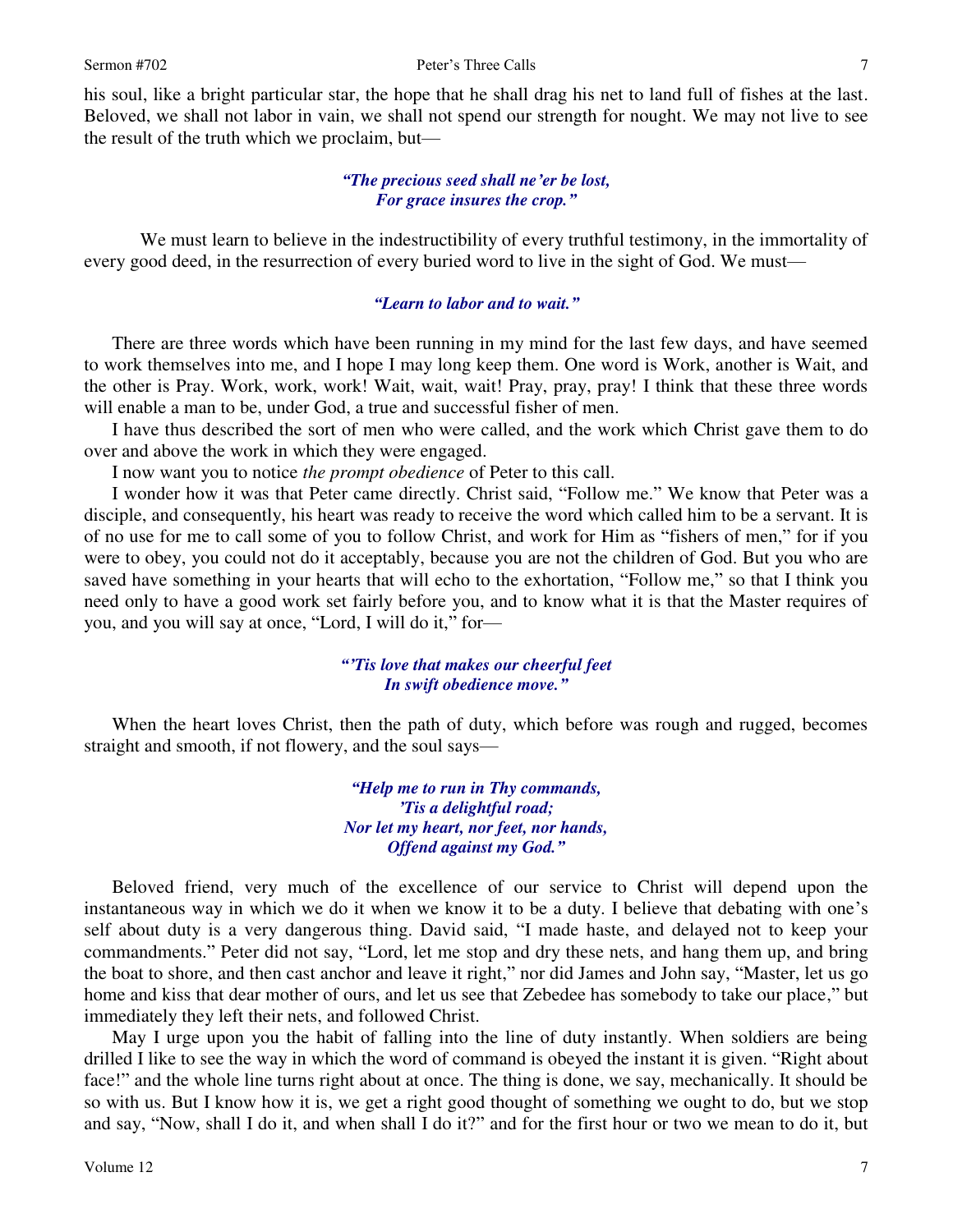his soul, like a bright particular star, the hope that he shall drag his net to land full of fishes at the last. Beloved, we shall not labor in vain, we shall not spend our strength for nought. We may not live to see the result of the truth which we proclaim, but—

### *"The precious seed shall ne'er be lost, For grace insures the crop."*

We must learn to believe in the indestructibility of every truthful testimony, in the immortality of every good deed, in the resurrection of every buried word to live in the sight of God. We must—

#### *"Learn to labor and to wait."*

There are three words which have been running in my mind for the last few days, and have seemed to work themselves into me, and I hope I may long keep them. One word is Work, another is Wait, and the other is Pray. Work, work, work! Wait, wait, wait! Pray, pray, pray! I think that these three words will enable a man to be, under God, a true and successful fisher of men.

I have thus described the sort of men who were called, and the work which Christ gave them to do over and above the work in which they were engaged.

I now want you to notice *the prompt obedience* of Peter to this call.

I wonder how it was that Peter came directly. Christ said, "Follow me." We know that Peter was a disciple, and consequently, his heart was ready to receive the word which called him to be a servant. It is of no use for me to call some of you to follow Christ, and work for Him as "fishers of men," for if you were to obey, you could not do it acceptably, because you are not the children of God. But you who are saved have something in your hearts that will echo to the exhortation, "Follow me," so that I think you need only to have a good work set fairly before you, and to know what it is that the Master requires of you, and you will say at once, "Lord, I will do it," for—

> *"'Tis love that makes our cheerful feet In swift obedience move."*

When the heart loves Christ, then the path of duty, which before was rough and rugged, becomes straight and smooth, if not flowery, and the soul says—

> *"Help me to run in Thy commands, 'Tis a delightful road; Nor let my heart, nor feet, nor hands, Offend against my God."*

Beloved friend, very much of the excellence of our service to Christ will depend upon the instantaneous way in which we do it when we know it to be a duty. I believe that debating with one's self about duty is a very dangerous thing. David said, "I made haste, and delayed not to keep your commandments." Peter did not say, "Lord, let me stop and dry these nets, and hang them up, and bring the boat to shore, and then cast anchor and leave it right," nor did James and John say, "Master, let us go home and kiss that dear mother of ours, and let us see that Zebedee has somebody to take our place," but immediately they left their nets, and followed Christ.

May I urge upon you the habit of falling into the line of duty instantly. When soldiers are being drilled I like to see the way in which the word of command is obeyed the instant it is given. "Right about face!" and the whole line turns right about at once. The thing is done, we say, mechanically. It should be so with us. But I know how it is, we get a right good thought of something we ought to do, but we stop and say, "Now, shall I do it, and when shall I do it?" and for the first hour or two we mean to do it, but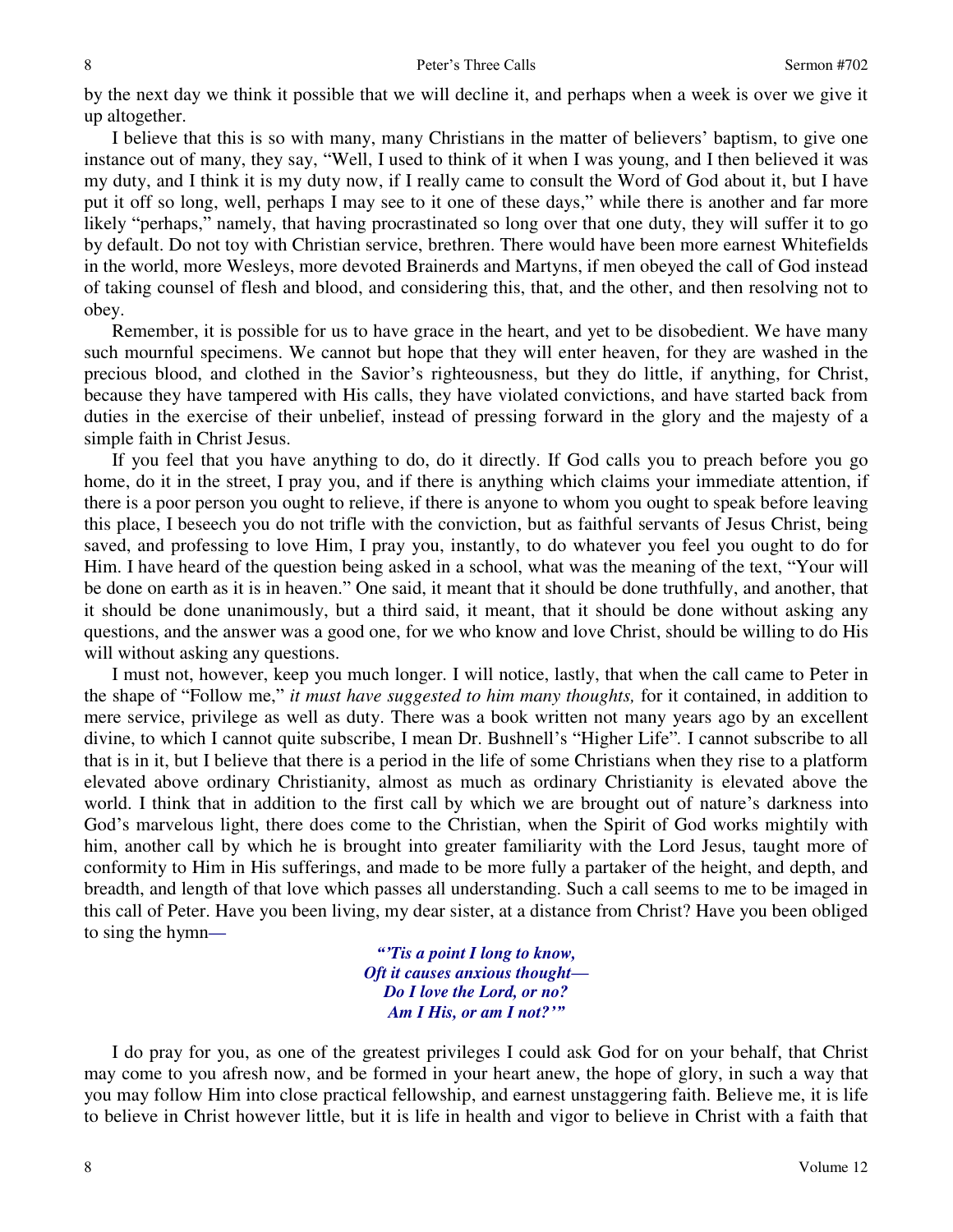by the next day we think it possible that we will decline it, and perhaps when a week is over we give it up altogether.

I believe that this is so with many, many Christians in the matter of believers' baptism, to give one instance out of many, they say, "Well, I used to think of it when I was young, and I then believed it was my duty, and I think it is my duty now, if I really came to consult the Word of God about it, but I have put it off so long, well, perhaps I may see to it one of these days," while there is another and far more likely "perhaps," namely, that having procrastinated so long over that one duty, they will suffer it to go by default. Do not toy with Christian service, brethren. There would have been more earnest Whitefields in the world, more Wesleys, more devoted Brainerds and Martyns, if men obeyed the call of God instead of taking counsel of flesh and blood, and considering this, that, and the other, and then resolving not to obey.

Remember, it is possible for us to have grace in the heart, and yet to be disobedient. We have many such mournful specimens. We cannot but hope that they will enter heaven, for they are washed in the precious blood, and clothed in the Savior's righteousness, but they do little, if anything, for Christ, because they have tampered with His calls, they have violated convictions, and have started back from duties in the exercise of their unbelief, instead of pressing forward in the glory and the majesty of a simple faith in Christ Jesus.

If you feel that you have anything to do, do it directly. If God calls you to preach before you go home, do it in the street, I pray you, and if there is anything which claims your immediate attention, if there is a poor person you ought to relieve, if there is anyone to whom you ought to speak before leaving this place, I beseech you do not trifle with the conviction, but as faithful servants of Jesus Christ, being saved, and professing to love Him, I pray you, instantly, to do whatever you feel you ought to do for Him. I have heard of the question being asked in a school, what was the meaning of the text, "Your will be done on earth as it is in heaven." One said, it meant that it should be done truthfully, and another, that it should be done unanimously, but a third said, it meant, that it should be done without asking any questions, and the answer was a good one, for we who know and love Christ, should be willing to do His will without asking any questions.

I must not, however, keep you much longer. I will notice, lastly, that when the call came to Peter in the shape of "Follow me," *it must have suggested to him many thoughts,* for it contained, in addition to mere service, privilege as well as duty. There was a book written not many years ago by an excellent divine, to which I cannot quite subscribe, I mean Dr. Bushnell's "Higher Life"*.* I cannot subscribe to all that is in it, but I believe that there is a period in the life of some Christians when they rise to a platform elevated above ordinary Christianity, almost as much as ordinary Christianity is elevated above the world. I think that in addition to the first call by which we are brought out of nature's darkness into God's marvelous light, there does come to the Christian, when the Spirit of God works mightily with him, another call by which he is brought into greater familiarity with the Lord Jesus, taught more of conformity to Him in His sufferings, and made to be more fully a partaker of the height, and depth, and breadth, and length of that love which passes all understanding. Such a call seems to me to be imaged in this call of Peter. Have you been living, my dear sister, at a distance from Christ? Have you been obliged to sing the hymn*—*

> *"'Tis a point I long to know, Oft it causes anxious thought— Do I love the Lord, or no? Am I His, or am I not?'"*

I do pray for you, as one of the greatest privileges I could ask God for on your behalf, that Christ may come to you afresh now, and be formed in your heart anew, the hope of glory, in such a way that you may follow Him into close practical fellowship, and earnest unstaggering faith. Believe me, it is life to believe in Christ however little, but it is life in health and vigor to believe in Christ with a faith that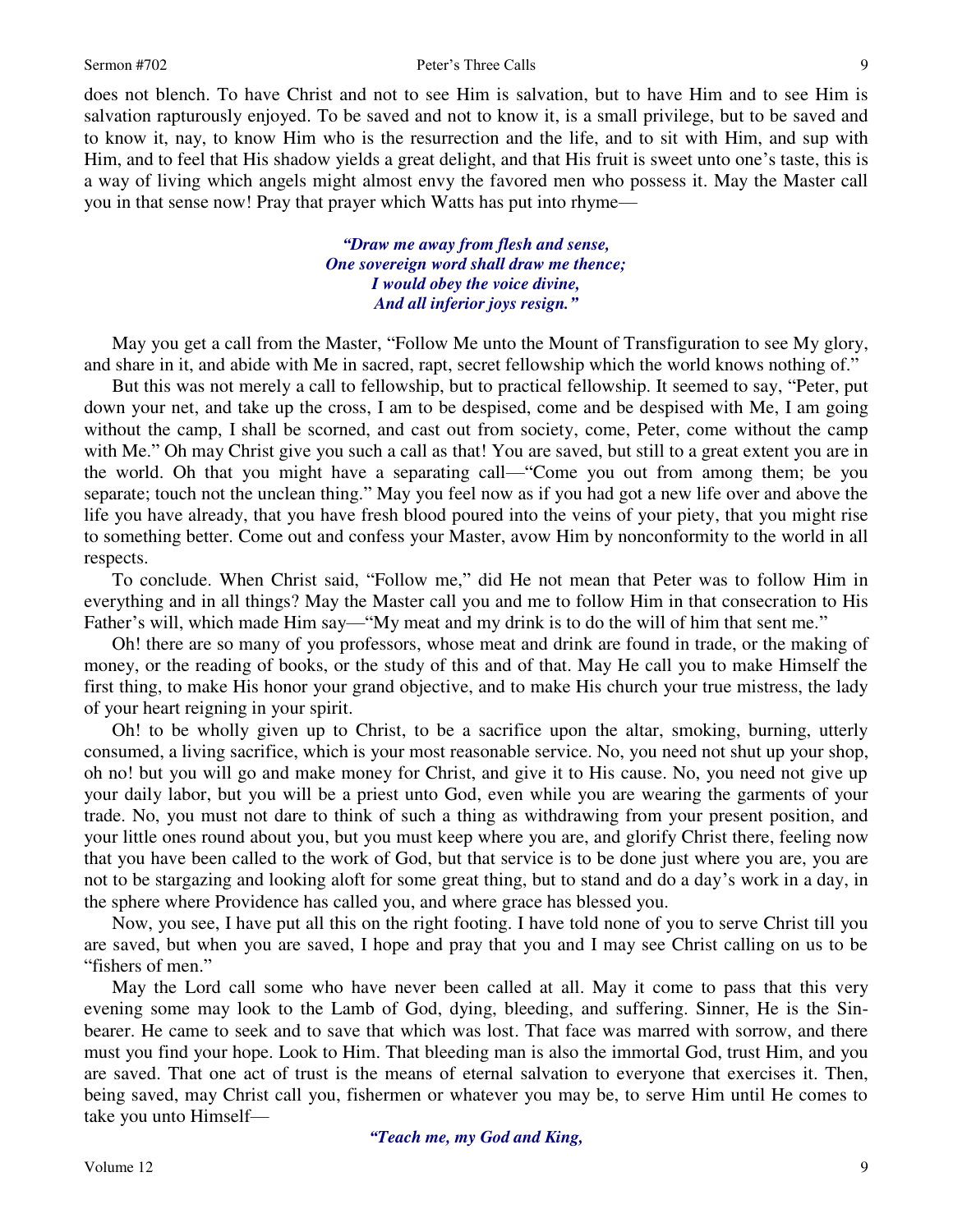does not blench. To have Christ and not to see Him is salvation, but to have Him and to see Him is salvation rapturously enjoyed. To be saved and not to know it, is a small privilege, but to be saved and to know it, nay, to know Him who is the resurrection and the life, and to sit with Him, and sup with Him, and to feel that His shadow yields a great delight, and that His fruit is sweet unto one's taste, this is a way of living which angels might almost envy the favored men who possess it. May the Master call you in that sense now! Pray that prayer which Watts has put into rhyme—

> *"Draw me away from flesh and sense, One sovereign word shall draw me thence; I would obey the voice divine, And all inferior joys resign."*

May you get a call from the Master, "Follow Me unto the Mount of Transfiguration to see My glory, and share in it, and abide with Me in sacred, rapt, secret fellowship which the world knows nothing of."

But this was not merely a call to fellowship, but to practical fellowship. It seemed to say, "Peter, put down your net, and take up the cross, I am to be despised, come and be despised with Me, I am going without the camp, I shall be scorned, and cast out from society, come, Peter, come without the camp with Me." Oh may Christ give you such a call as that! You are saved, but still to a great extent you are in the world. Oh that you might have a separating call—"Come you out from among them; be you separate; touch not the unclean thing." May you feel now as if you had got a new life over and above the life you have already, that you have fresh blood poured into the veins of your piety, that you might rise to something better. Come out and confess your Master, avow Him by nonconformity to the world in all respects.

To conclude. When Christ said, "Follow me," did He not mean that Peter was to follow Him in everything and in all things? May the Master call you and me to follow Him in that consecration to His Father's will, which made Him say—"My meat and my drink is to do the will of him that sent me."

Oh! there are so many of you professors, whose meat and drink are found in trade, or the making of money, or the reading of books, or the study of this and of that. May He call you to make Himself the first thing, to make His honor your grand objective, and to make His church your true mistress, the lady of your heart reigning in your spirit.

Oh! to be wholly given up to Christ, to be a sacrifice upon the altar, smoking, burning, utterly consumed, a living sacrifice, which is your most reasonable service. No, you need not shut up your shop, oh no! but you will go and make money for Christ, and give it to His cause. No, you need not give up your daily labor, but you will be a priest unto God, even while you are wearing the garments of your trade. No, you must not dare to think of such a thing as withdrawing from your present position, and your little ones round about you, but you must keep where you are, and glorify Christ there, feeling now that you have been called to the work of God, but that service is to be done just where you are, you are not to be stargazing and looking aloft for some great thing, but to stand and do a day's work in a day, in the sphere where Providence has called you, and where grace has blessed you.

Now, you see, I have put all this on the right footing. I have told none of you to serve Christ till you are saved, but when you are saved, I hope and pray that you and I may see Christ calling on us to be "fishers of men."

May the Lord call some who have never been called at all. May it come to pass that this very evening some may look to the Lamb of God, dying, bleeding, and suffering. Sinner, He is the Sinbearer. He came to seek and to save that which was lost. That face was marred with sorrow, and there must you find your hope. Look to Him. That bleeding man is also the immortal God, trust Him, and you are saved. That one act of trust is the means of eternal salvation to everyone that exercises it. Then, being saved, may Christ call you, fishermen or whatever you may be, to serve Him until He comes to take you unto Himself—

*"Teach me, my God and King,* 

9